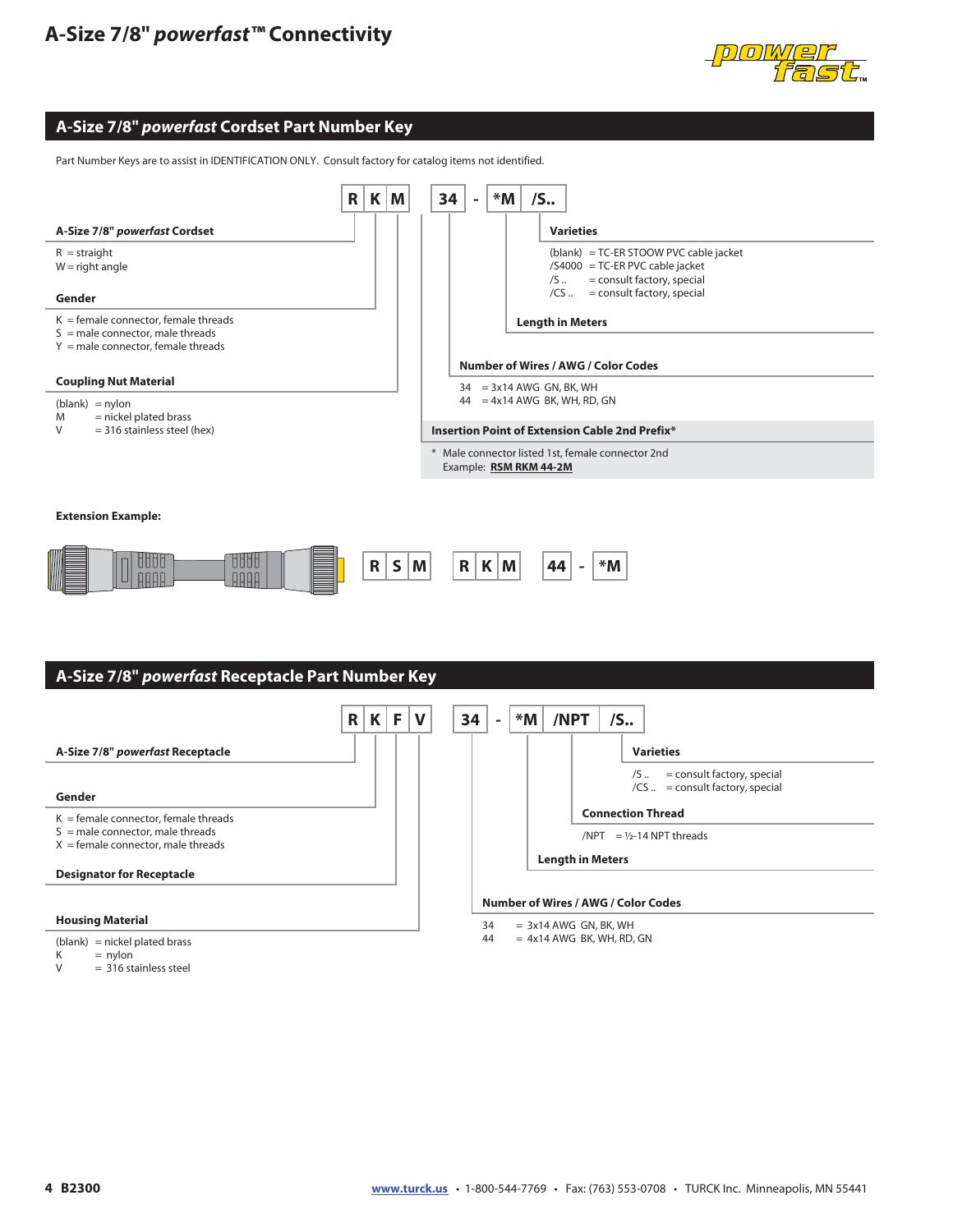# **A-Size 7/8"** *powerfast™* **Connectivity**



#### **A-Size 7/8"** *powerfast* **Cordset Part Number Key**

Part Number Keys are to assist in IDENTIFICATION ONLY. Consult factory for catalog items not identified.



#### **Extension Example:**





 $= 316$  stainless steel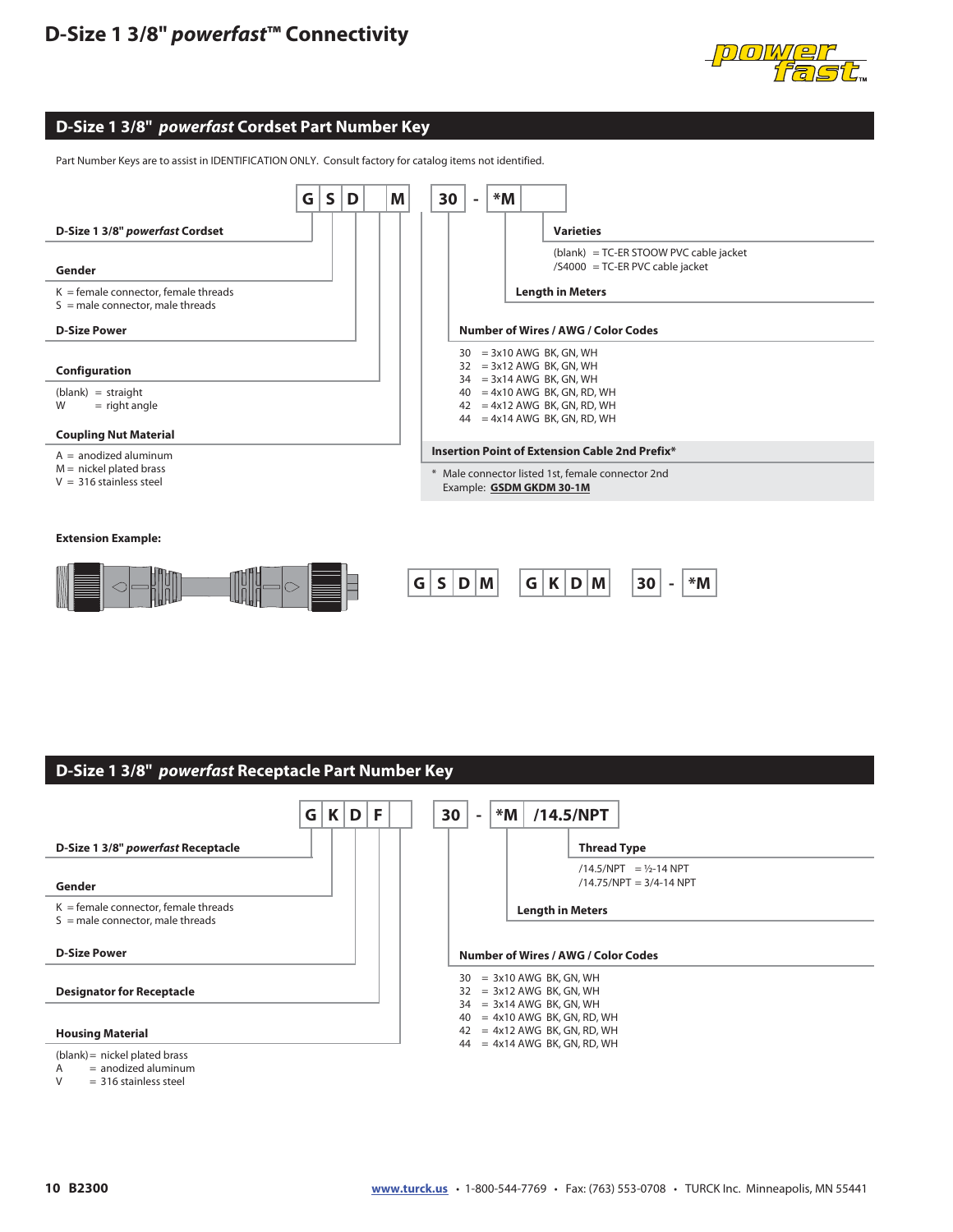

### **D-Size 1 3/8"** *powerfast* **Cordset Part Number Key**

Part Number Keys are to assist in IDENTIFICATION ONLY. Consult factory for catalog items not identified.



## **D-Size 1 3/8"** *powerfast* **Receptacle Part Number Key**



 $=$  316 stainless steel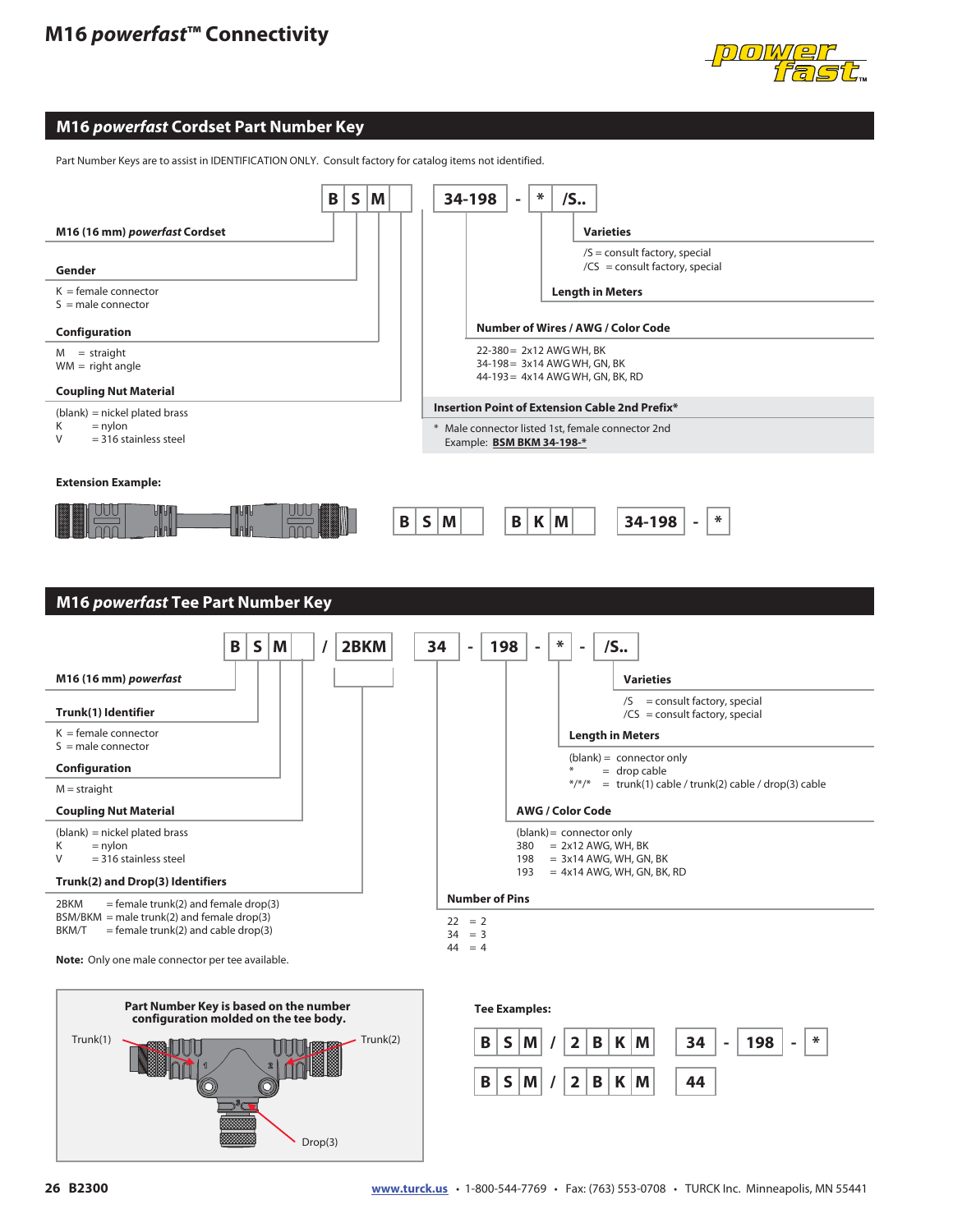

#### **M16** *powerfast* **Cordset Part Number Key**

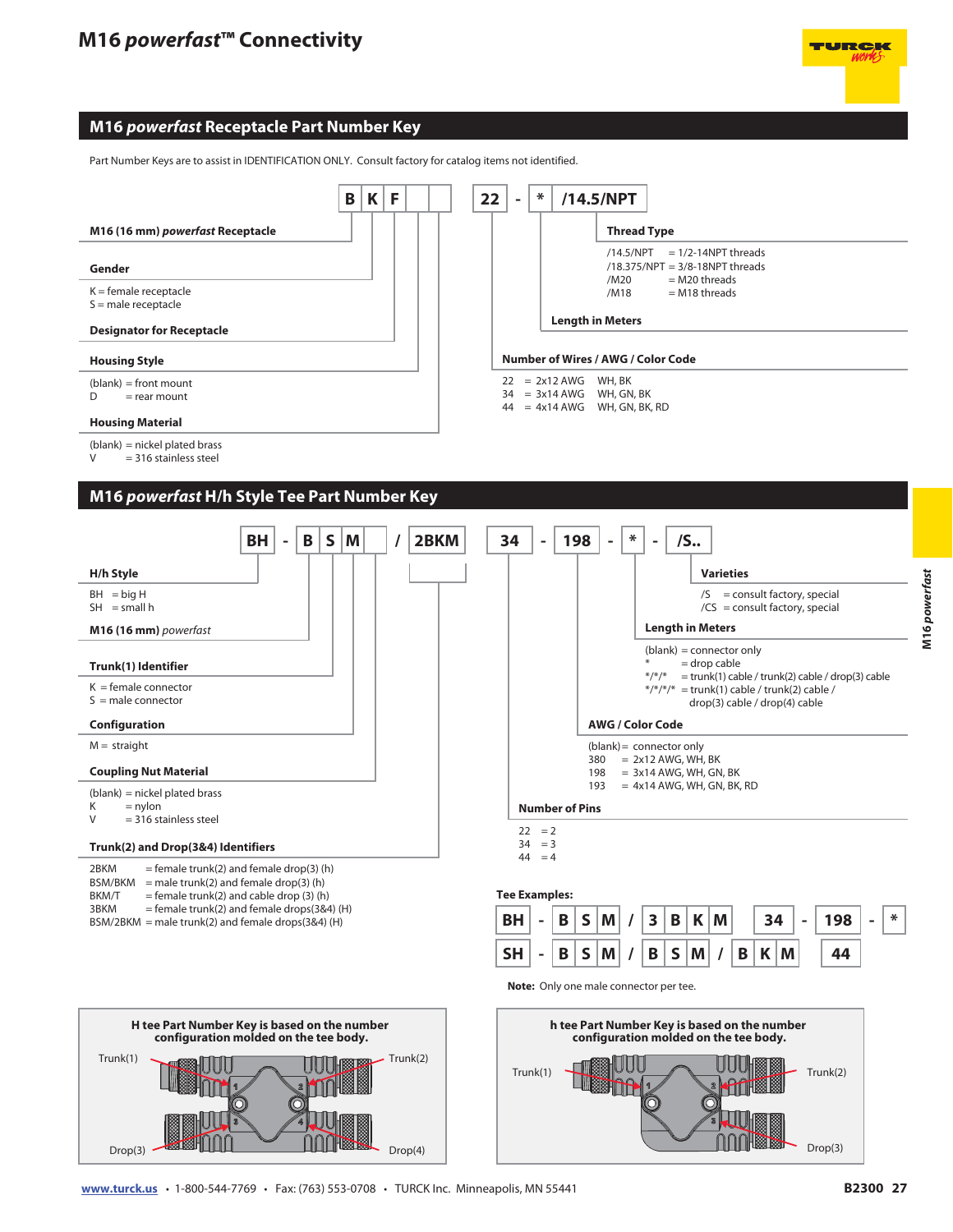### **M16** *powerfast* **Receptacle Part Number Key**

Part Number Keys are to assist in IDENTIFICATION ONLY. Consult factory for catalog items not identified.



#### **M16** *powerfast* **H/h Style Tee Part Number Key**